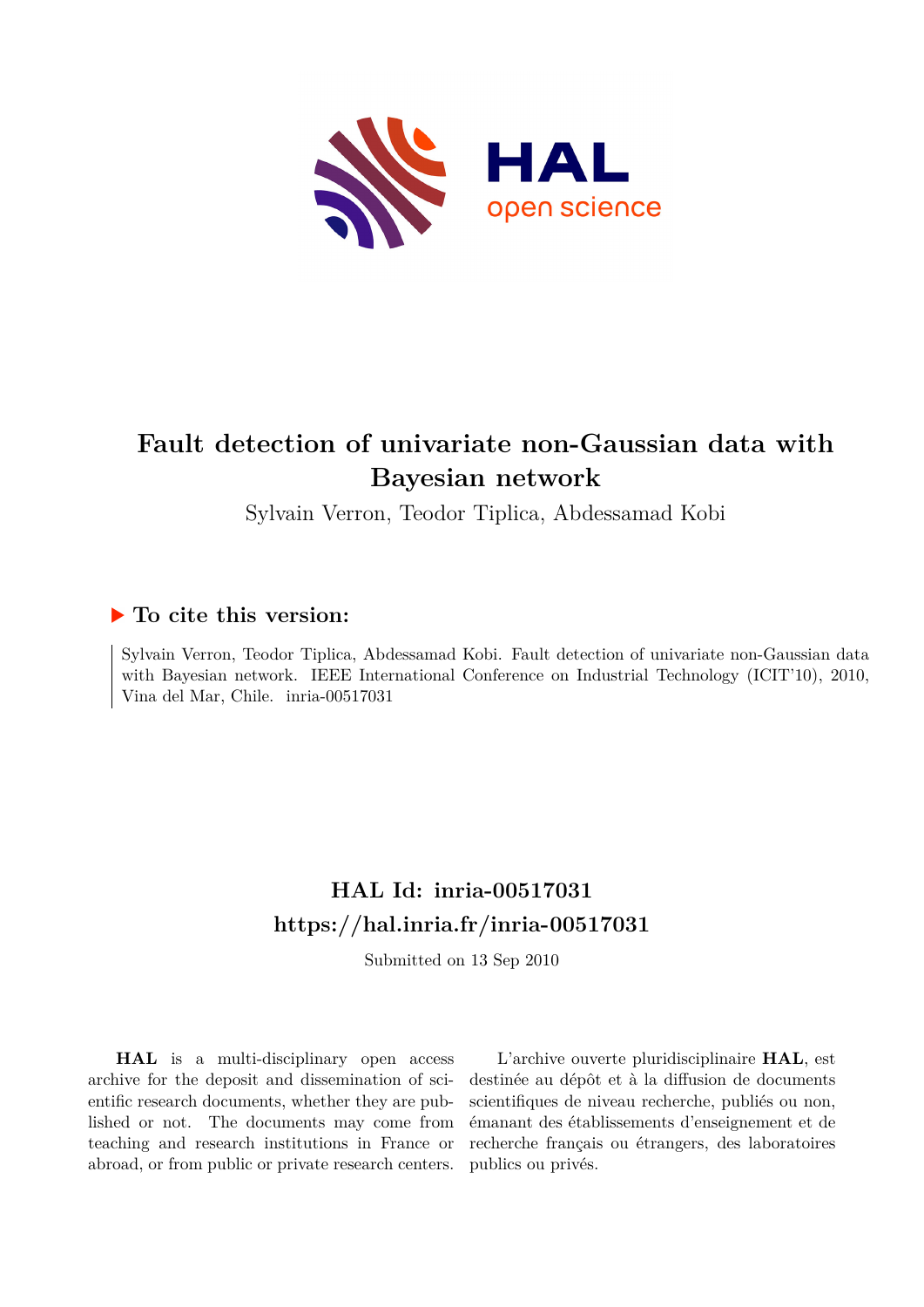

## **Fault detection of univariate non-Gaussian data with Bayesian network**

Sylvain Verron, Teodor Tiplica, Abdessamad Kobi

### **To cite this version:**

Sylvain Verron, Teodor Tiplica, Abdessamad Kobi. Fault detection of univariate non-Gaussian data with Bayesian network. IEEE International Conference on Industrial Technology (ICIT'10), 2010, Vina del Mar, Chile. inria-00517031

## **HAL Id: inria-00517031 <https://hal.inria.fr/inria-00517031>**

Submitted on 13 Sep 2010

**HAL** is a multi-disciplinary open access archive for the deposit and dissemination of scientific research documents, whether they are published or not. The documents may come from teaching and research institutions in France or abroad, or from public or private research centers.

L'archive ouverte pluridisciplinaire **HAL**, est destinée au dépôt et à la diffusion de documents scientifiques de niveau recherche, publiés ou non, émanant des établissements d'enseignement et de recherche français ou étrangers, des laboratoires publics ou privés.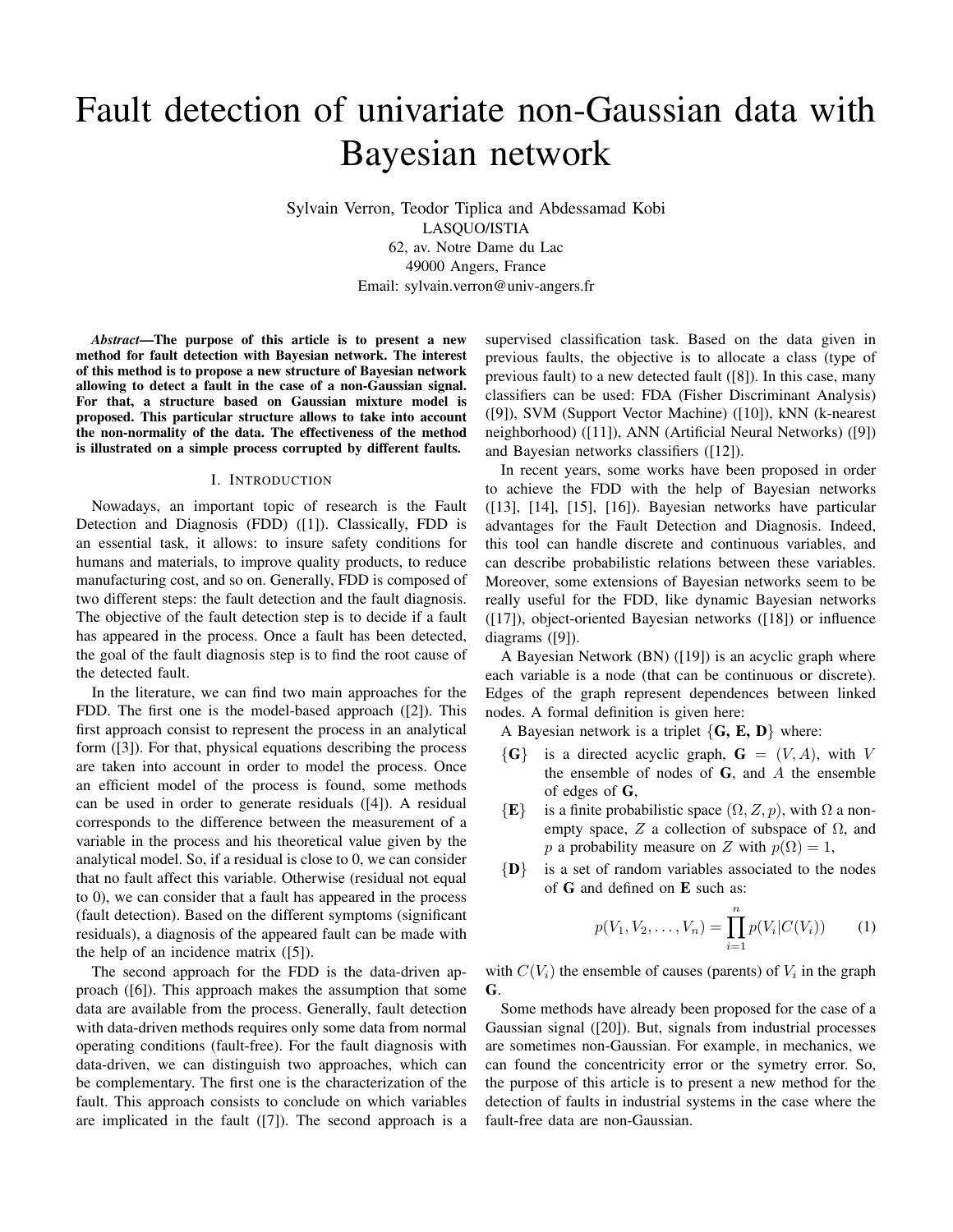# Fault detection of univariate non-Gaussian data with Bayesian network

Sylvain Verron, Teodor Tiplica and Abdessamad Kobi LASQUO/ISTIA 62, av. Notre Dame du Lac 49000 Angers, France Email: sylvain.verron@univ-angers.fr

*Abstract*—The purpose of this article is to present a new method for fault detection with Bayesian network. The interest of this method is to propose a new structure of Bayesian network allowing to detect a fault in the case of a non-Gaussian signal. For that, a structure based on Gaussian mixture model is proposed. This particular structure allows to take into account the non-normality of the data. The effectiveness of the method is illustrated on a simple process corrupted by different faults.

#### I. INTRODUCTION

Nowadays, an important topic of research is the Fault Detection and Diagnosis (FDD) ([1]). Classically, FDD is an essential task, it allows: to insure safety conditions for humans and materials, to improve quality products, to reduce manufacturing cost, and so on. Generally, FDD is composed of two different steps: the fault detection and the fault diagnosis. The objective of the fault detection step is to decide if a fault has appeared in the process. Once a fault has been detected, the goal of the fault diagnosis step is to find the root cause of the detected fault.

In the literature, we can find two main approaches for the FDD. The first one is the model-based approach ([2]). This first approach consist to represent the process in an analytical form ([3]). For that, physical equations describing the process are taken into account in order to model the process. Once an efficient model of the process is found, some methods can be used in order to generate residuals ([4]). A residual corresponds to the difference between the measurement of a variable in the process and his theoretical value given by the analytical model. So, if a residual is close to 0, we can consider that no fault affect this variable. Otherwise (residual not equal to 0), we can consider that a fault has appeared in the process (fault detection). Based on the different symptoms (significant residuals), a diagnosis of the appeared fault can be made with the help of an incidence matrix ([5]).

The second approach for the FDD is the data-driven approach ([6]). This approach makes the assumption that some data are available from the process. Generally, fault detection with data-driven methods requires only some data from normal operating conditions (fault-free). For the fault diagnosis with data-driven, we can distinguish two approaches, which can be complementary. The first one is the characterization of the fault. This approach consists to conclude on which variables are implicated in the fault ([7]). The second approach is a supervised classification task. Based on the data given in previous faults, the objective is to allocate a class (type of previous fault) to a new detected fault ([8]). In this case, many classifiers can be used: FDA (Fisher Discriminant Analysis) ([9]), SVM (Support Vector Machine) ([10]), kNN (k-nearest neighborhood) ([11]), ANN (Artificial Neural Networks) ([9]) and Bayesian networks classifiers ([12]).

In recent years, some works have been proposed in order to achieve the FDD with the help of Bayesian networks ([13], [14], [15], [16]). Bayesian networks have particular advantages for the Fault Detection and Diagnosis. Indeed, this tool can handle discrete and continuous variables, and can describe probabilistic relations between these variables. Moreover, some extensions of Bayesian networks seem to be really useful for the FDD, like dynamic Bayesian networks ([17]), object-oriented Bayesian networks ([18]) or influence diagrams ([9]).

A Bayesian Network (BN) ([19]) is an acyclic graph where each variable is a node (that can be continuous or discrete). Edges of the graph represent dependences between linked nodes. A formal definition is given here:

A Bayesian network is a triplet  $\{G, E, D\}$  where:

- $\{G\}$  is a directed acyclic graph,  $G = (V, A)$ , with V the ensemble of nodes of  $G$ , and  $A$  the ensemble of edges of G,
- ${E}$  is a finite probabilistic space  $(\Omega, Z, p)$ , with  $\Omega$  a nonempty space, Z a collection of subspace of  $\Omega$ , and p a probability measure on Z with  $p(\Omega) = 1$ ,
- ${D}$  is a set of random variables associated to the nodes of G and defined on E such as:

$$
p(V_1, V_2, \dots, V_n) = \prod_{i=1}^n p(V_i|C(V_i))
$$
 (1)

with  $C(V_i)$  the ensemble of causes (parents) of  $V_i$  in the graph G.

Some methods have already been proposed for the case of a Gaussian signal ([20]). But, signals from industrial processes are sometimes non-Gaussian. For example, in mechanics, we can found the concentricity error or the symetry error. So, the purpose of this article is to present a new method for the detection of faults in industrial systems in the case where the fault-free data are non-Gaussian.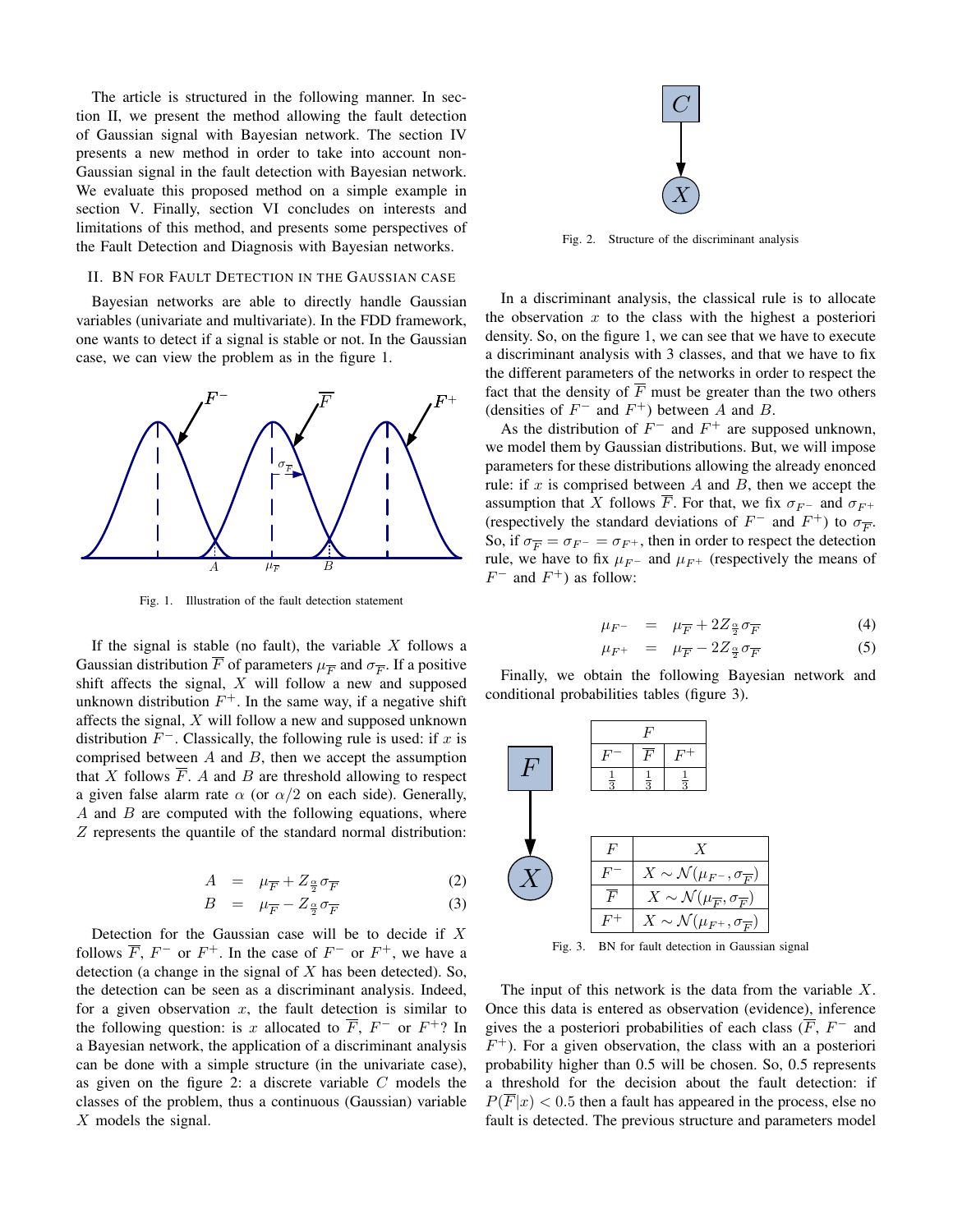The article is structured in the following manner. In section II, we present the method allowing the fault detection of Gaussian signal with Bayesian network. The section IV presents a new method in order to take into account non-Gaussian signal in the fault detection with Bayesian network. F + We evaluate this proposed method on a simple example in section V. Finally, section VI concludes on interests and limitations of this method, and presents some perspectives of the Fault Detection and Diagnosis with Bayesian networks.

#### II. BN FOR FAULT DETECTION IN THE GAUSSIAN CASE

Bayesian networks are able to directly handle Gaussian variables (univariate and multivariate). In the FDD framework, one wants to detect if a signal is stable or not. In the Gaussian case, we can view the problem as in the figure 1.



Fig. 1. Illustration of the fault detection statement

If the signal is stable (no fault), the variable  $X$  follows a Gaussian distribution F of parameters  $\mu_{\overline{F}}$  and  $\sigma_{\overline{F}}$ . If a positive shift affects the signal,  $X$  will follow a new and supposed unknown distribution  $F^+$ . In the same way, if a negative shift affects the signal, X will follow a new and supposed unknown distribution  $F^-$ . Classically, the following rule is used: if x is comprised between  $A$  and  $B$ , then we accept the assumption that  $X$  follows  $F$ . A and  $B$  are threshold allowing to respect a given false alarm rate  $\alpha$  (or  $\alpha/2$  on each side). Generally,  $A$  and  $B$  are computed with the following equations, where Z represents the quantile of the standard normal distribution:

$$
A = \mu_{\overline{F}} + Z_{\frac{\alpha}{2}} \sigma_{\overline{F}} \tag{2}
$$

$$
B = \mu_{\overline{F}} - Z_{\frac{\alpha}{2}} \sigma_{\overline{F}} \tag{3}
$$

Detection for the Gaussian case will be to decide if  $X$ follows  $\overline{F}$ ,  $F^-$  or  $F^+$ . In the case of  $F^-$  or  $F^+$ , we have a detection (a change in the signal of  $X$  has been detected). So, the detection can be seen as a discriminant analysis. Indeed, for a given observation  $x$ , the fault detection is similar to the following question: is x allocated to  $\overline{F}$ ,  $F^-$  or  $F^+$ ? In a Bayesian network, the application of a discriminant analysis can be done with a simple structure (in the univariate case), as given on the figure 2: a discrete variable C models the classes of the problem, thus a continuous (Gaussian) variable X models the signal.



Fig. 2. Structure of the discriminant analysis

In a discriminant analysis, the classical rule is to allocate the observation  $x$  to the class with the highest a posteriori density. So, on the figure 1, we can see that we have to execute a discriminant analysis with 3 classes, and that we have to fix the different parameters of the networks in order to respect the fact that the density of  $\overline{F}$  must be greater than the two others (densities of  $F^-$  and  $F^+$ ) between A and B.

As the distribution of  $F^-$  and  $F^+$  are supposed unknown, we model them by Gaussian distributions. But, we will impose parameters for these distributions allowing the already enonced rule: if  $x$  is comprised between  $A$  and  $B$ , then we accept the assumption that X follows  $\overline{F}$ . For that, we fix  $\sigma_{F}$  and  $\sigma_{F}$  + (respectively the standard deviations of  $F^-$  and  $F^+$ ) to  $\sigma_{\overline{F}}$ . So, if  $\sigma_{\overline{p}} = \sigma_{F^-} = \sigma_{F^+}$ , then in order to respect the detection rule, we have to fix  $\mu_{F^-}$  and  $\mu_{F^+}$  (respectively the means of  $F^-$  and  $F^+$ ) as follow:

$$
\mu_{F^-} = \mu_{\overline{F}} + 2Z_{\frac{\alpha}{2}} \sigma_{\overline{F}} \tag{4}
$$

$$
\mu_{F^+} = \mu_{\overline{F}} - 2Z_{\frac{\alpha}{2}} \sigma_{\overline{F}} \tag{5}
$$

Finally, we obtain the following Bayesian network and conditional probabilities tables (figure 3).



Fig. 3. BN for fault detection in Gaussian signal

The input of this network is the data from the variable  $X$ . Once this data is entered as observation (evidence), inference gives the a posteriori probabilities of each class  $(F, F^-$  and  $F^+$ ). For a given observation, the class with an a posteriori probability higher than 0.5 will be chosen. So, 0.5 represents a threshold for the decision about the fault detection: if  $P(\overline{F}|x) < 0.5$  then a fault has appeared in the process, else no fault is detected. The previous structure and parameters model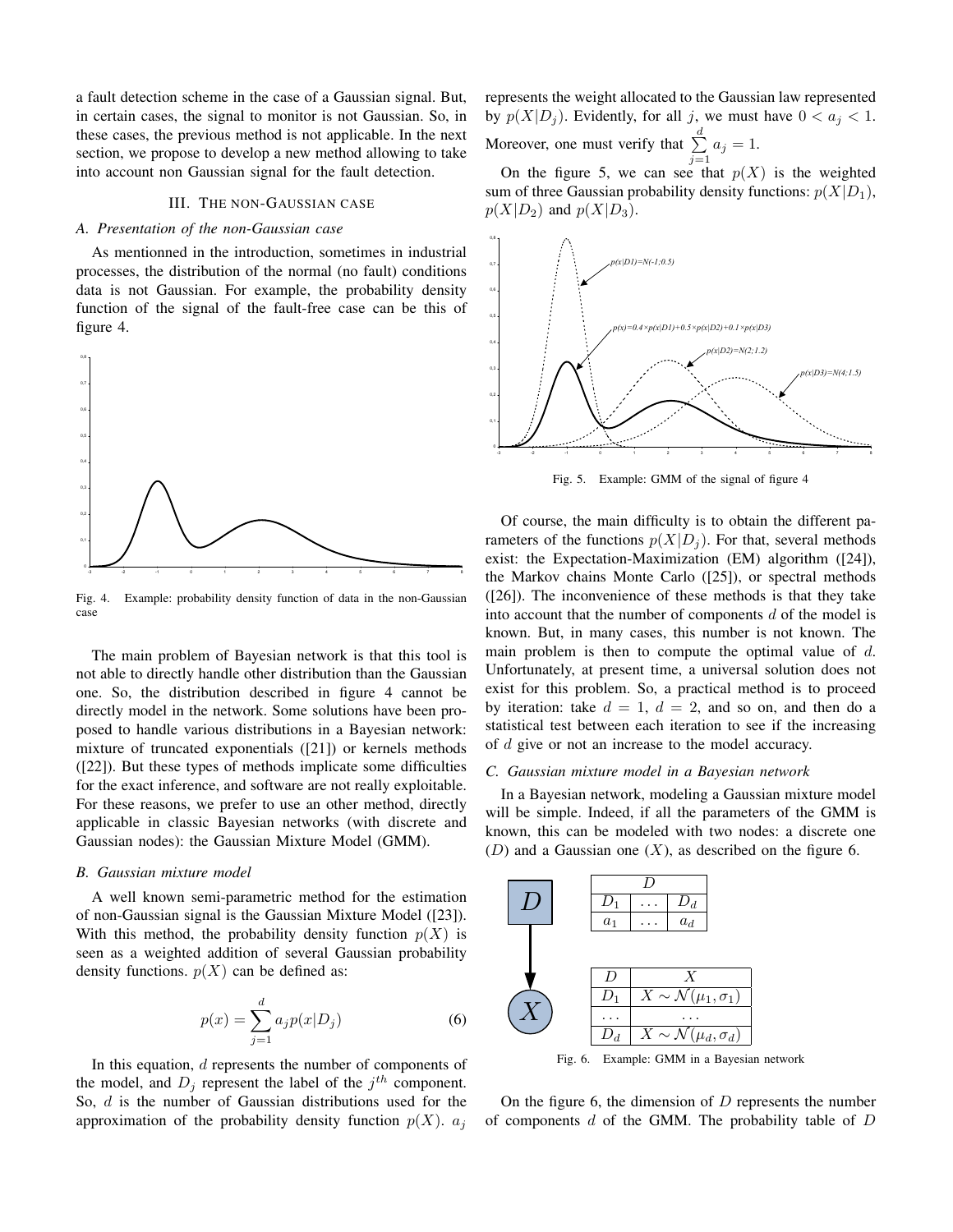a fault detection scheme in the case of a Gaussian signal. But, in certain cases, the signal to monitor is not Gaussian. So, in these cases, the previous method is not applicable. In the next section, we propose to develop a new method allowing to take into account non Gaussian signal for the fault detection.

#### III. THE NON-GAUSSIAN CASE

#### *A. Presentation of the non-Gaussian case*

As mentionned in the introduction, sometimes in industrial processes, the distribution of the normal (no fault) conditions data is not Gaussian. For example, the probability density function of the signal of the fault-free case can be this of figure 4.



Fig. 4. Example: probability density function of data in the non-Gaussian case

The main problem of Bayesian network is that this tool is not able to directly handle other distribution than the Gaussian one. So, the distribution described in figure 4 cannot be directly model in the network. Some solutions have been proposed to handle various distributions in a Bayesian network: mixture of truncated exponentials ([21]) or kernels methods ([22]). But these types of methods implicate some difficulties for the exact inference, and software are not really exploitable. For these reasons, we prefer to use an other method, directly applicable in classic Bayesian networks (with discrete and Gaussian nodes): the Gaussian Mixture Model (GMM).

#### *B. Gaussian mixture model*

A well known semi-parametric method for the estimation of non-Gaussian signal is the Gaussian Mixture Model ([23]). With this method, the probability density function  $p(X)$  is seen as a weighted addition of several Gaussian probability density functions.  $p(X)$  can be defined as:

$$
p(x) = \sum_{j=1}^{d} a_j p(x|D_j)
$$
 (6)

In this equation, d represents the number of components of the model, and  $D_j$  represent the label of the  $j^{th}$  component. So, d is the number of Gaussian distributions used for the approximation of the probability density function  $p(X)$ .  $a_i$  represents the weight allocated to the Gaussian law represented by  $p(X|D_j)$ . Evidently, for all j, we must have  $0 < a_j < 1$ . Moreover, one must verify that  $\sum_{ }^{d}$  $\sum_{j=1} a_j = 1.$ 

On the figure 5, we can see that  $p(X)$  is the weighted sum of three Gaussian probability density functions:  $p(X|D_1)$ ,  $p(X|D_2)$  and  $p(X|D_3)$ .



Fig. 5. Example: GMM of the signal of figure 4

Of course, the main difficulty is to obtain the different parameters of the functions  $p(X|D_i)$ . For that, several methods exist: the Expectation-Maximization (EM) algorithm ([24]), the Markov chains Monte Carlo ([25]), or spectral methods ([26]). The inconvenience of these methods is that they take into account that the number of components d of the model is known. But, in many cases, this number is not known. The main problem is then to compute the optimal value of  $d$ . Unfortunately, at present time, a universal solution does not exist for this problem. So, a practical method is to proceed by iteration: take  $d = 1$ ,  $d = 2$ , and so on, and then do a statistical test between each iteration to see if the increasing of d give or not an increase to the model accuracy.

#### *C. Gaussian mixture model in a Bayesian network*

In a Bayesian network, modeling a Gaussian mixture model will be simple. Indeed, if all the parameters of the GMM is known, this can be modeled with two nodes: a discrete one (D) and a Gaussian one  $(X)$ , as described on the figure 6.



Fig. 6. Example: GMM in a Bayesian network

On the figure 6, the dimension of  $D$  represents the number of components  $d$  of the GMM. The probability table of  $D$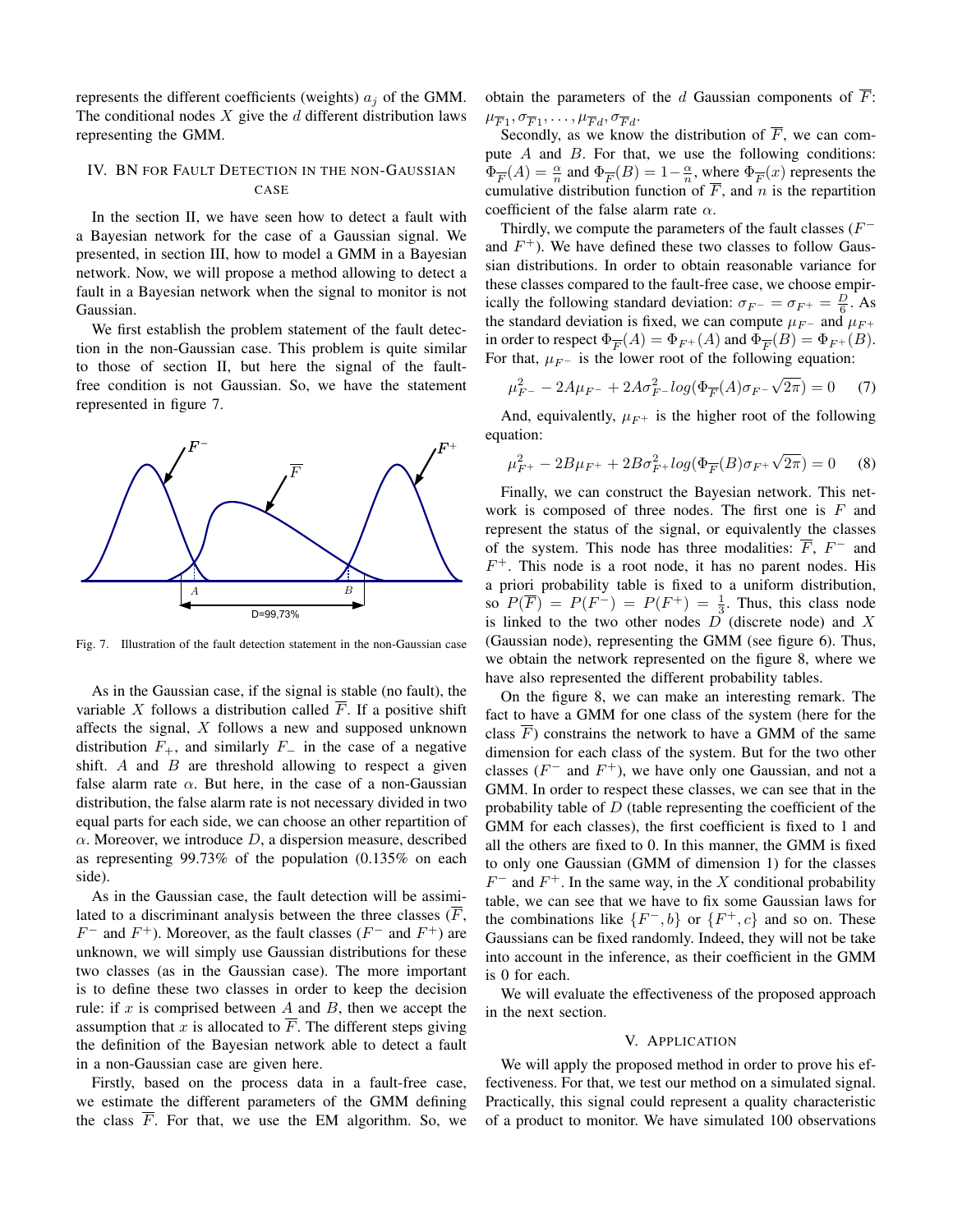represents the different coefficients (weights)  $a_i$  of the GMM. The conditional nodes  $X$  give the  $d$  different distribution laws representing the GMM.

#### IV. BN FOR FAULT DETECTION IN THE NON-GAUSSIAN CASE

In the section II, we have seen how to detect a fault with a Bayesian network for the case of a Gaussian signal. We presented, in section III, how to model a GMM in a Bayesian network. Now, we will propose a method allowing to detect a fault in a Bayesian network when the signal to monitor is not Gaussian.

We first establish the problem statement of the fault detection in the non-Gaussian case. This problem is quite similar to those of section II, but here the signal of the faultfree condition is not Gaussian. So, we have the statement represented in figure 7.



Fig. 7. Illustration of the fault detection statement in the non-Gaussian case

As in the Gaussian case, if the signal is stable (no fault), the variable  $X$  follows a distribution called  $F$ . If a positive shift affects the signal,  $X$  follows a new and supposed unknown distribution  $F_+$ , and similarly  $F_-\,$  in the case of a negative shift. A and  $B$  are threshold allowing to respect a given false alarm rate  $\alpha$ . But here, in the case of a non-Gaussian distribution, the false alarm rate is not necessary divided in two equal parts for each side, we can choose an other repartition of  $\alpha$ . Moreover, we introduce  $D$ , a dispersion measure, described as representing 99.73% of the population (0.135% on each side).

As in the Gaussian case, the fault detection will be assimilated to a discriminant analysis between the three classes  $(\overline{F},$  $F^-$  and  $F^+$ ). Moreover, as the fault classes ( $F^-$  and  $F^+$ ) are unknown, we will simply use Gaussian distributions for these two classes (as in the Gaussian case). The more important is to define these two classes in order to keep the decision rule: if  $x$  is comprised between  $A$  and  $B$ , then we accept the assumption that x is allocated to  $\overline{F}$ . The different steps giving the definition of the Bayesian network able to detect a fault in a non-Gaussian case are given here.

Firstly, based on the process data in a fault-free case, we estimate the different parameters of the GMM defining the class  $F$ . For that, we use the EM algorithm. So, we obtain the parameters of the d Gaussian components of  $\overline{F}$ :  $\mu_{\overline{F}1}, \sigma_{\overline{F}1}, \ldots, \mu_{\overline{F}d}, \sigma_{\overline{F}d}.$ 

Secondly, as we know the distribution of  $\overline{F}$ , we can compute  $A$  and  $B$ . For that, we use the following conditions:  $\Phi_{\overline{F}}(A) = \frac{\alpha}{n}$  and  $\Phi_{\overline{F}}(B) = 1 - \frac{\alpha}{n}$ , where  $\Phi_{\overline{F}}(x)$  represents the cumulative distribution function of  $\overline{F}$ , and n is the repartition coefficient of the false alarm rate  $\alpha$ .

Thirdly, we compute the parameters of the fault classes  $(F^-)$ and  $F^+$ ). We have defined these two classes to follow Gaussian distributions. In order to obtain reasonable variance for these classes compared to the fault-free case, we choose empirically the following standard deviation:  $\sigma_{F^-} = \sigma_{F^+} = \frac{D}{6}$ . As the standard deviation is fixed, we can compute  $\mu_{F^-}$  and  $\mu_{F^+}$ in order to respect  $\Phi_{\overline{F}}(A) = \Phi_{F^+}(A)$  and  $\Phi_{\overline{F}}(B) = \Phi_{F^+}(B)$ . For that,  $\mu_{F^-}$  is the lower root of the following equation:

$$
\mu_{F^-}^2 - 2A\mu_{F^-} + 2A\sigma_{F^-}^2 \log(\Phi_{\overline{F}}(A)\sigma_{F^-}\sqrt{2\pi}) = 0 \tag{7}
$$

And, equivalently,  $\mu_{F^+}$  is the higher root of the following equation:

$$
\mu_{F^+}^2 - 2B\mu_{F^+} + 2B\sigma_{F^+}^2 \log(\Phi_{\overline{F}}(B)\sigma_{F^+}\sqrt{2\pi}) = 0 \quad (8)
$$

Finally, we can construct the Bayesian network. This network is composed of three nodes. The first one is  $F$  and represent the status of the signal, or equivalently the classes of the system. This node has three modalities:  $F, F^-$  and  $F^+$ . This node is a root node, it has no parent nodes. His a priori probability table is fixed to a uniform distribution, so  $P(\overline{F}) = P(F^-) = P(F^+) = \frac{1}{3}$ . Thus, this class node is linked to the two other nodes  $D$  (discrete node) and  $X$ (Gaussian node), representing the GMM (see figure 6). Thus, we obtain the network represented on the figure 8, where we have also represented the different probability tables.

On the figure 8, we can make an interesting remark. The fact to have a GMM for one class of the system (here for the class  $\overline{F}$ ) constrains the network to have a GMM of the same dimension for each class of the system. But for the two other classes  $(F^-$  and  $F^+$ ), we have only one Gaussian, and not a GMM. In order to respect these classes, we can see that in the probability table of  $D$  (table representing the coefficient of the GMM for each classes), the first coefficient is fixed to 1 and all the others are fixed to 0. In this manner, the GMM is fixed to only one Gaussian (GMM of dimension 1) for the classes  $F^-$  and  $F^+$ . In the same way, in the X conditional probability table, we can see that we have to fix some Gaussian laws for the combinations like  $\{F^-, b\}$  or  $\{F^+, c\}$  and so on. These Gaussians can be fixed randomly. Indeed, they will not be take into account in the inference, as their coefficient in the GMM is 0 for each.

We will evaluate the effectiveness of the proposed approach in the next section.

#### V. APPLICATION

We will apply the proposed method in order to prove his effectiveness. For that, we test our method on a simulated signal. Practically, this signal could represent a quality characteristic of a product to monitor. We have simulated 100 observations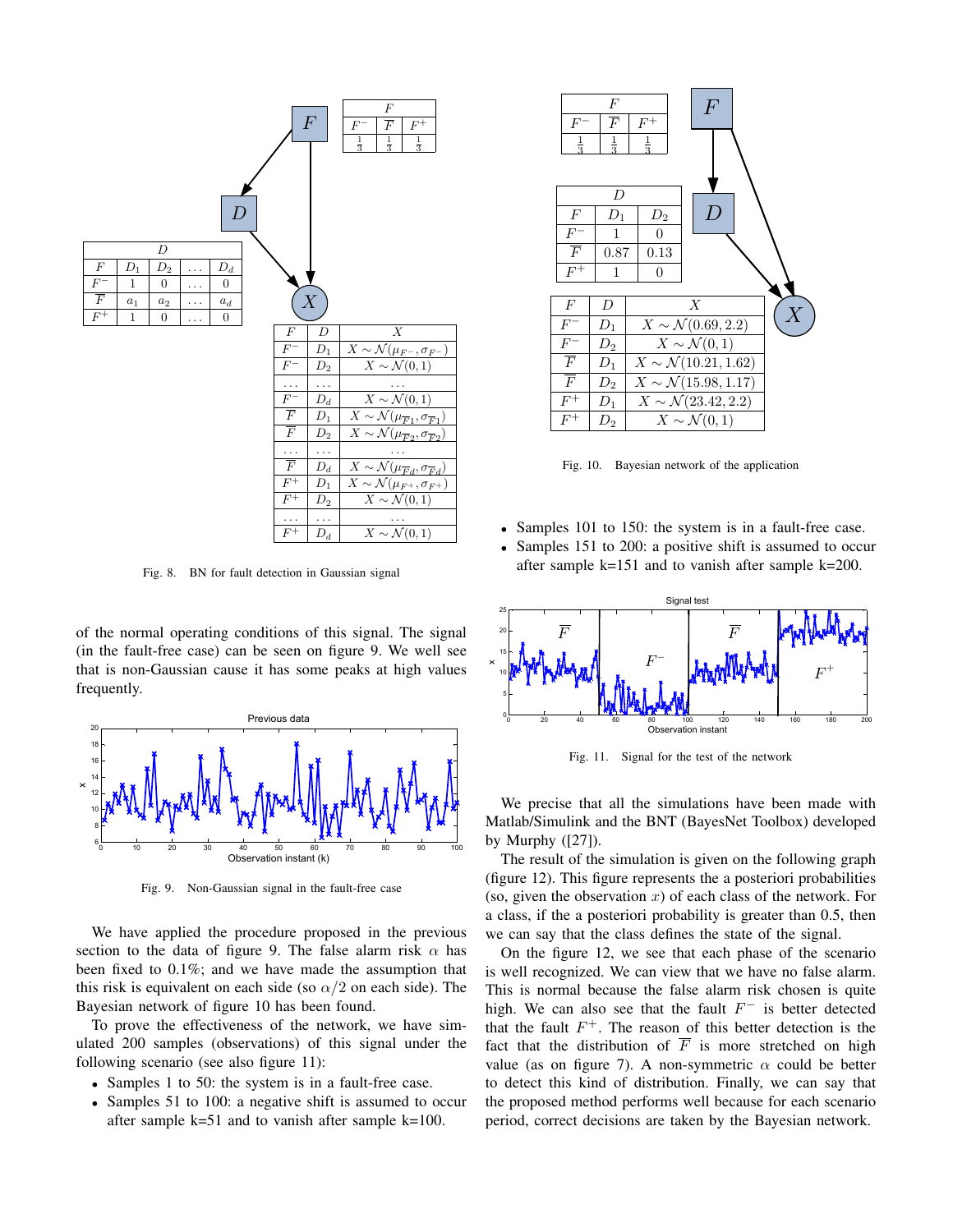

Fig. 8. BN for fault detection in Gaussian signal

of the normal operating conditions of this signal. The signal (in the fault-free case) can be seen on figure 9. We well see that is non-Gaussian cause it has some peaks at high values frequently.



Fig. 9. Non-Gaussian signal in the fault-free case

We have applied the procedure proposed in the previous section to the data of figure 9. The false alarm risk  $\alpha$  has been fixed to 0.1%; and we have made the assumption that this risk is equivalent on each side (so  $\alpha/2$  on each side). The Bayesian network of figure 10 has been found.

To prove the effectiveness of the network, we have simulated 200 samples (observations) of this signal under the following scenario (see also figure 11):

- Samples 1 to 50: the system is in a fault-free case.
- Samples 51 to 100: a negative shift is assumed to occur after sample  $k=51$  and to vanish after sample  $k=100$ .



Fig. 10. Bayesian network of the application

- Samples 101 to 150: the system is in a fault-free case.
- Samples 151 to 200: a positive shift is assumed to occur after sample k=151 and to vanish after sample k=200.



Fig. 11. Signal for the test of the network

We precise that all the simulations have been made with Matlab/Simulink and the BNT (BayesNet Toolbox) developed by Murphy ([27]).

The result of the simulation is given on the following graph (figure 12). This figure represents the a posteriori probabilities (so, given the observation  $x$ ) of each class of the network. For a class, if the a posteriori probability is greater than 0.5, then we can say that the class defines the state of the signal.

On the figure 12, we see that each phase of the scenario is well recognized. We can view that we have no false alarm. This is normal because the false alarm risk chosen is quite high. We can also see that the fault  $F^-$  is better detected that the fault  $F^+$ . The reason of this better detection is the fact that the distribution of  $\overline{F}$  is more stretched on high value (as on figure 7). A non-symmetric  $\alpha$  could be better to detect this kind of distribution. Finally, we can say that the proposed method performs well because for each scenario period, correct decisions are taken by the Bayesian network.